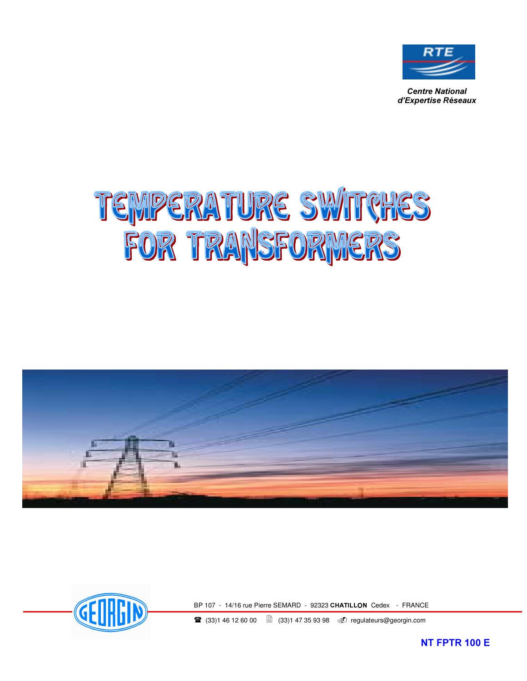

**Centre National**  $d'$ *Expertise Réseaux* 

# TEMPERATURE SWITCHES





BP 107 - 14/16 rue Pierre SEMARD - 92323 CHATILLON Cedex - FRANCE

**■** (33)1 46 12 60 00 ■ (33)1 47 35 93 98 **4** regulateurs@georgin.com

**NT FPTR 100 E**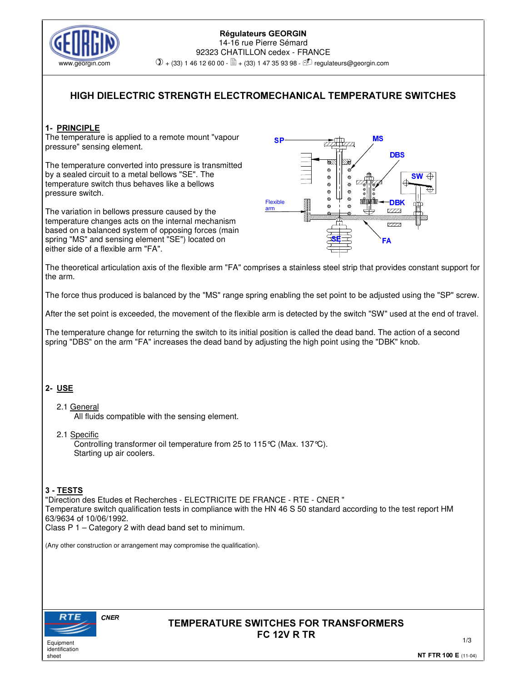

#### Régulateurs GEORGIN 14-16 rue Pierre Sémard 92323 CHATILLON cedex - FRANCE www.georgin.com  $\mathbb{O}$  + (33) 1 46 12 60 00 -  $\mathbb{\mathbb{B}}$  + (33) 1 47 35 93 98 -  $\mathbb{D}$  regulateurs@georgin.com

## **HIGH DIELECTRIC STRENGTH ELECTROMECHANICAL TEMPERATURE SWITCHES**

## 1- PRINCIPLE

The temperature is applied to a remote mount "vapour pressure" sensing element.

The temperature converted into pressure is transmitted by a sealed circuit to a metal bellows "SE". The temperature switch thus behaves like a bellows pressure switch.

The variation in bellows pressure caused by the temperature changes acts on the internal mechanism based on a balanced system of opposing forces (main spring "MS" and sensing element "SE") located on either side of a flexible arm "FA".



The theoretical articulation axis of the flexible arm "FA" comprises a stainless steel strip that provides constant support for the arm.

The force thus produced is balanced by the "MS" range spring enabling the set point to be adjusted using the "SP" screw.

After the set point is exceeded, the movement of the flexible arm is detected by the switch "SW" used at the end of travel.

The temperature change for returning the switch to its initial position is called the dead band. The action of a second spring "DBS" on the arm "FA" increases the dead band by adjusting the high point using the "DBK" knob.

## 2- USE

2.1 General

All fluids compatible with the sensing element.

2.1 Specific

Controlling transformer oil temperature from 25 to 115°C (Max. 137°C). Starting up air coolers.

## 3 - TESTS

"Direction des Etudes et Recherches - ELECTRICITE DE FRANCE - RTE - CNER " Temperature switch qualification tests in compliance with the HN 46 S 50 standard according to the test report HM 63/9634 of 10/06/1992.

Class P 1 – Category 2 with dead band set to minimum.

(Any other construction or arrangement may compromise the qualification).



**Equipment** identification sheet

## **TEMPERATURE SWITCHES FOR TRANSFORMERS FC 12V R TR**

1/3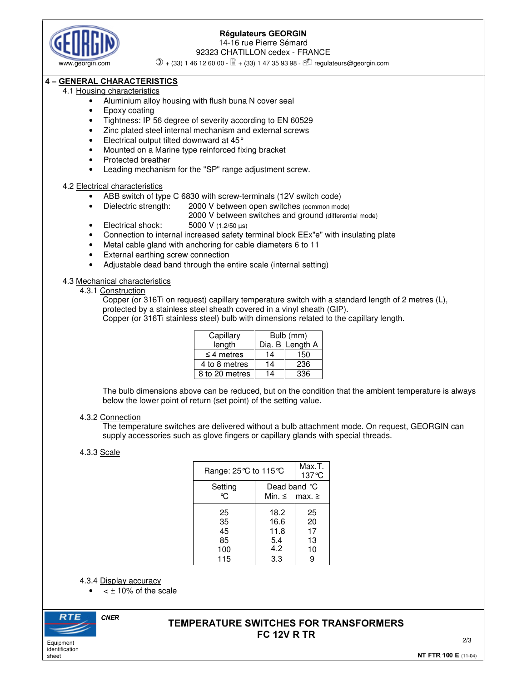

## Régulateurs GEORGIN

14-16 rue Pierre Sémard 92323 CHATILLON cedex - FRANCE

www.georgin.com  $\mathbb{O}$  + (33) 1 46 12 60 00 -  $\mathbb{\mathbb{\hat{B}}}$  + (33) 1 47 35 93 98 -  $\mathbb{\hat{D}}$  regulateurs@georgin.com

## $4$  – GENERAL CHARACTERISTICS

## 4.1 Housing characteristics

- Aluminium alloy housing with flush buna N cover seal
- Epoxy coating
- Tightness: IP 56 degree of severity according to EN 60529
- Zinc plated steel internal mechanism and external screws
- Electrical output tilted downward at 45°
- Mounted on a Marine type reinforced fixing bracket
- Protected breather
- Leading mechanism for the "SP" range adjustment screw.

#### 4.2 Electrical characteristics

- ABB switch of type C 6830 with screw-terminals (12V switch code)
	- Dielectric strength: 2000 V between open switches (common mode)
		- 2000 V between switches and ground (differential mode)
- Electrical shock:  $5000 \text{ V}$  (1.2/50  $\mu$ s)
- Connection to internal increased safety terminal block EEx"e" with insulating plate
- Metal cable gland with anchoring for cable diameters 6 to 11
- External earthing screw connection
- Adjustable dead band through the entire scale (internal setting)

4.3 Mechanical characteristics

4.3.1 Construction

Copper (or 316Ti on request) capillary temperature switch with a standard length of 2 metres (L), protected by a stainless steel sheath covered in a vinyl sheath (GIP).

Copper (or 316Ti stainless steel) bulb with dimensions related to the capillary length.

| Capillary       | Bulb (mm) |                 |
|-----------------|-----------|-----------------|
| length          |           | Dia. B Length A |
| $\leq$ 4 metres | 14        | 150             |
| 4 to 8 metres   | 14        | 236             |
| 8 to 20 metres  | 14        | 336             |

The bulb dimensions above can be reduced, but on the condition that the ambient temperature is always below the lower point of return (set point) of the setting value.

#### 4.3.2 Connection

The temperature switches are delivered without a bulb attachment mode. On request, GEORGIN can supply accessories such as glove fingers or capillary glands with special threads.

## 4.3.3 Scale

| Range: $25^{\circ}$ C to 115 $^{\circ}$ C |                                           | Max.T.<br>$137^{\circ}$ C       |
|-------------------------------------------|-------------------------------------------|---------------------------------|
| Setting<br>℃.                             | Dead band °C<br>Min. $\leq$ max. $\geq$   |                                 |
| 25<br>35<br>45<br>85<br>100<br>115        | 18.2<br>16.6<br>11.8<br>5.4<br>4.2<br>3.3 | 25<br>20<br>17<br>13<br>10<br>9 |

4.3.4 Display accuracy

 $<$   $\pm$  10% of the scale



identification sheet

## **TEMPERATURE SWITCHES FOR TRANSFORMERS FC 12V R TR**

٦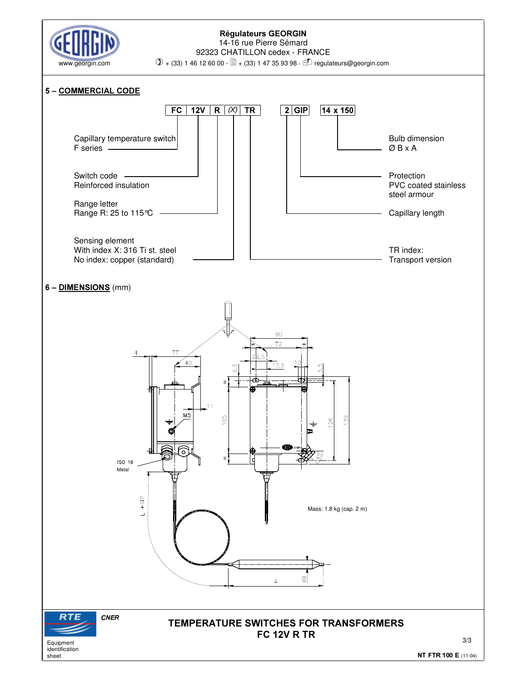

#### Régulateurs GEORGIN 14-16 rue Pierre Sémard 92323 CHATILLON cedex - FRANCE



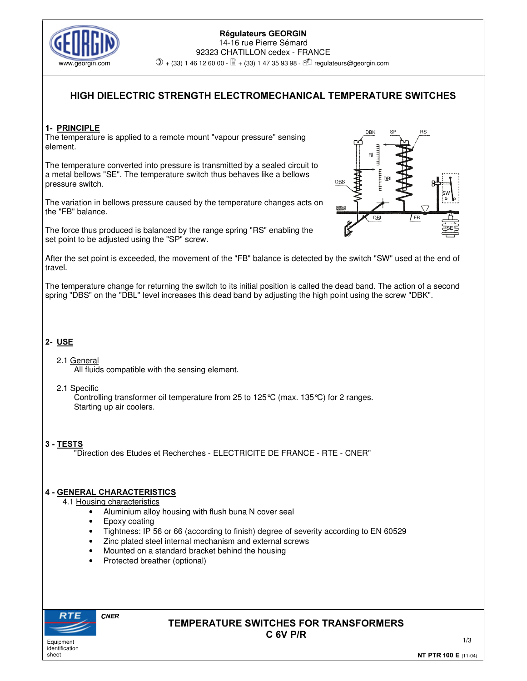

#### Régulateurs GEORGIN 14-16 rue Pierre Sémard 92323 CHATILLON cedex - FRANCE www.georgin.com  $\mathbb{O}$  + (33) 1 46 12 60 00 -  $\mathbb{\mathbb{\Xi}}$  + (33) 1 47 35 93 98 -  $\mathbb{\mathbb{C}}$  regulateurs@georgin.com

# **HIGH DIELECTRIC STRENGTH ELECTROMECHANICAL TEMPERATURE SWITCHES**

## 1- PRINCIPLE

The temperature is applied to a remote mount "vapour pressure" sensing element.

The temperature converted into pressure is transmitted by a sealed circuit to a metal bellows "SE". The temperature switch thus behaves like a bellows pressure switch.

The variation in bellows pressure caused by the temperature changes acts on the "FB" balance.

The force thus produced is balanced by the range spring "RS" enabling the set point to be adjusted using the "SP" screw.



After the set point is exceeded, the movement of the "FB" balance is detected by the switch "SW" used at the end of travel.

The temperature change for returning the switch to its initial position is called the dead band. The action of a second spring "DBS" on the "DBL" level increases this dead band by adjusting the high point using the screw "DBK".

## 2- USE

## 2.1 General

All fluids compatible with the sensing element.

## 2.1 Specific

Controlling transformer oil temperature from 25 to 125°C (max. 135°C) for 2 ranges. Starting up air coolers.

## 3 - TESTS

"Direction des Etudes et Recherches - ELECTRICITE DE FRANCE - RTE - CNER"

## 4 - GENERAL CHARACTERISTICS

## 4.1 Housing characteristics

- Aluminium alloy housing with flush buna N cover seal
- Epoxy coating
- Tightness: IP 56 or 66 (according to finish) degree of severity according to EN 60529
- Zinc plated steel internal mechanism and external screws
- Mounted on a standard bracket behind the housing
- Protected breather (optional)



identification sheet

## **TEMPERATURE SWITCHES FOR TRANSFORMERS** C 6V P/R

1/3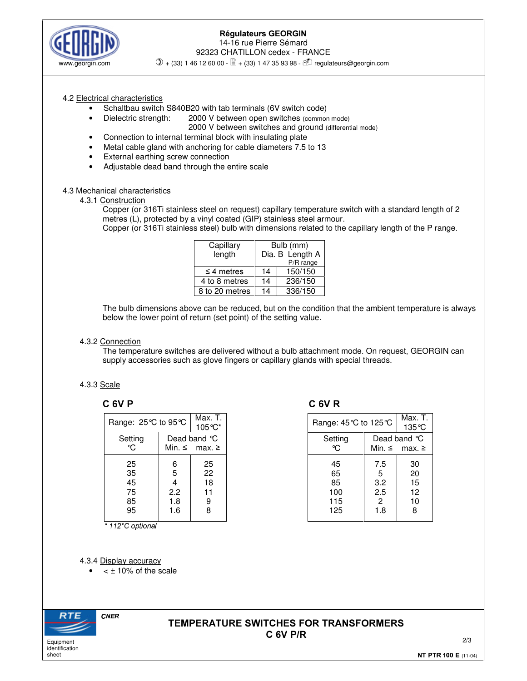

## Régulateurs GEORGIN 14-16 rue Pierre Sémard 92323 CHATILLON cedex - FRANCE

www.georgin.com  $\mathbb{Q}$  + (33) 1 46 12 60 00 -  $\mathbb{\mathbb{\ddot{B}}}$  + (33) 1 47 35 93 98 -  $\mathbb{\dot{I}}$  regulateurs@georgin.com

#### 4.2 Electrical characteristics

- Schaltbau switch S840B20 with tab terminals (6V switch code)
- Dielectric strength: 2000 V between open switches (common mode)
	- 2000 V between switches and ground (differential mode)
- Connection to internal terminal block with insulating plate
- Metal cable gland with anchoring for cable diameters 7.5 to 13
- External earthing screw connection
- Adjustable dead band through the entire scale

#### 4.3 Mechanical characteristics

4.3.1 Construction

Copper (or 316Ti stainless steel on request) capillary temperature switch with a standard length of 2 metres (L), protected by a vinyl coated (GIP) stainless steel armour.

Copper (or 316Ti stainless steel) bulb with dimensions related to the capillary length of the P range.

| Capillary       | Bulb (mm)       |           |  |
|-----------------|-----------------|-----------|--|
| length          | Dia. B Length A |           |  |
|                 |                 | P/R range |  |
| $\leq$ 4 metres | 14              | 150/150   |  |
| 4 to 8 metres   | 14              | 236/150   |  |
| 8 to 20 metres  | 14              | 336/150   |  |

The bulb dimensions above can be reduced, but on the condition that the ambient temperature is always below the lower point of return (set point) of the setting value.

#### 4.3.2 Connection

The temperature switches are delivered without a bulb attachment mode. On request, GEORGIN can supply accessories such as glove fingers or capillary glands with special threads.

## 4.3.3 Scale

| Range: 25℃ to 95℃ |             | Max. T.<br>$105^{\circ}$ C* |
|-------------------|-------------|-----------------------------|
| Setting           | Dead band ℃ |                             |
| ℃.                |             | Min. $\leq$ max. $\geq$     |
| 25                | 6           | 25                          |
| 35                | 5           | 22                          |
| 45                | 4           | 18                          |
| 75                | 2.2         | 11                          |
| 85                | 1.8         | 9                           |
| 95                | 1.6         |                             |
|                   |             | 8                           |

\* 112°C optional

# $C$  6V P  $C$  6V R

| Range: 45 ℃ to 125 ℃ |                | Max. T.<br>135 °C       |  |
|----------------------|----------------|-------------------------|--|
| Setting              | Dead band °C   |                         |  |
| ℃.                   |                | Min, $\leq$ max, $\geq$ |  |
| 45                   | 7.5            | 30                      |  |
| 65                   | 5              | 20                      |  |
| 85                   | 3.2            | 15                      |  |
| 100                  | 2.5            | 12                      |  |
| 115                  | $\overline{c}$ | 10                      |  |
| 125                  | 1.8            | 8                       |  |

4.3.4 Display accuracy

 $<$   $\pm$  10% of the scale



## **TEMPERATURE SWITCHES FOR TRANSFORMERS C 6V P/R**